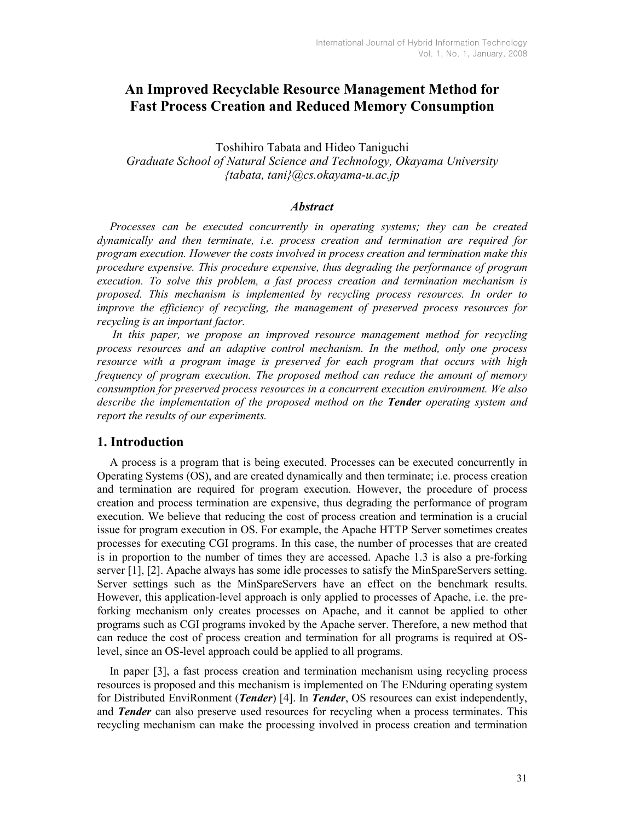# An Improved Recyclable Resource Management Method for Fast Process Creation and Reduced Memory Consumption

Toshihiro Tabata and Hideo Taniguchi Graduate School of Natural Science and Technology, Okayama University {tabata, tani}@cs.okayama-u.ac.jp

#### **Abstract**

Processes can be executed concurrently in operating systems; they can be created dynamically and then terminate, i.e. process creation and termination are required for program execution. However the costs involved in process creation and termination make this procedure expensive. This procedure expensive, thus degrading the performance of program execution. To solve this problem, a fast process creation and termination mechanism is proposed. This mechanism is implemented by recycling process resources. In order to improve the efficiency of recycling, the management of preserved process resources for recycling is an important factor.

 In this paper, we propose an improved resource management method for recycling process resources and an adaptive control mechanism. In the method, only one process resource with a program image is preserved for each program that occurs with high frequency of program execution. The proposed method can reduce the amount of memory consumption for preserved process resources in a concurrent execution environment. We also describe the implementation of the proposed method on the **Tender** operating system and report the results of our experiments.

#### 1. Introduction

A process is a program that is being executed. Processes can be executed concurrently in Operating Systems (OS), and are created dynamically and then terminate; i.e. process creation and termination are required for program execution. However, the procedure of process creation and process termination are expensive, thus degrading the performance of program execution. We believe that reducing the cost of process creation and termination is a crucial issue for program execution in OS. For example, the Apache HTTP Server sometimes creates processes for executing CGI programs. In this case, the number of processes that are created is in proportion to the number of times they are accessed. Apache 1.3 is also a pre-forking server [1], [2]. Apache always has some idle processes to satisfy the MinSpareServers setting. Server settings such as the MinSpareServers have an effect on the benchmark results. However, this application-level approach is only applied to processes of Apache, i.e. the preforking mechanism only creates processes on Apache, and it cannot be applied to other programs such as CGI programs invoked by the Apache server. Therefore, a new method that can reduce the cost of process creation and termination for all programs is required at OSlevel, since an OS-level approach could be applied to all programs.

In paper [3], a fast process creation and termination mechanism using recycling process resources is proposed and this mechanism is implemented on The ENduring operating system for Distributed EnviRonment (*Tender*) [4]. In *Tender*, OS resources can exist independently, and **Tender** can also preserve used resources for recycling when a process terminates. This recycling mechanism can make the processing involved in process creation and termination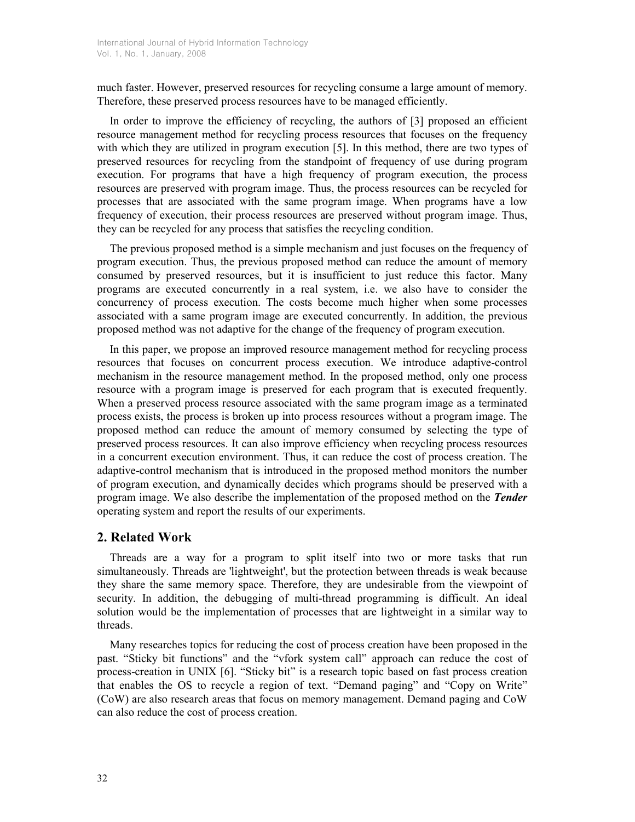much faster. However, preserved resources for recycling consume a large amount of memory. Therefore, these preserved process resources have to be managed efficiently.

In order to improve the efficiency of recycling, the authors of [3] proposed an efficient resource management method for recycling process resources that focuses on the frequency with which they are utilized in program execution [5]. In this method, there are two types of preserved resources for recycling from the standpoint of frequency of use during program execution. For programs that have a high frequency of program execution, the process resources are preserved with program image. Thus, the process resources can be recycled for processes that are associated with the same program image. When programs have a low frequency of execution, their process resources are preserved without program image. Thus, they can be recycled for any process that satisfies the recycling condition.

The previous proposed method is a simple mechanism and just focuses on the frequency of program execution. Thus, the previous proposed method can reduce the amount of memory consumed by preserved resources, but it is insufficient to just reduce this factor. Many programs are executed concurrently in a real system, i.e. we also have to consider the concurrency of process execution. The costs become much higher when some processes associated with a same program image are executed concurrently. In addition, the previous proposed method was not adaptive for the change of the frequency of program execution.

In this paper, we propose an improved resource management method for recycling process resources that focuses on concurrent process execution. We introduce adaptive-control mechanism in the resource management method. In the proposed method, only one process resource with a program image is preserved for each program that is executed frequently. When a preserved process resource associated with the same program image as a terminated process exists, the process is broken up into process resources without a program image. The proposed method can reduce the amount of memory consumed by selecting the type of preserved process resources. It can also improve efficiency when recycling process resources in a concurrent execution environment. Thus, it can reduce the cost of process creation. The adaptive-control mechanism that is introduced in the proposed method monitors the number of program execution, and dynamically decides which programs should be preserved with a program image. We also describe the implementation of the proposed method on the **Tender** operating system and report the results of our experiments.

### 2. Related Work

Threads are a way for a program to split itself into two or more tasks that run simultaneously. Threads are 'lightweight', but the protection between threads is weak because they share the same memory space. Therefore, they are undesirable from the viewpoint of security. In addition, the debugging of multi-thread programming is difficult. An ideal solution would be the implementation of processes that are lightweight in a similar way to threads.

Many researches topics for reducing the cost of process creation have been proposed in the past. "Sticky bit functions" and the "vfork system call" approach can reduce the cost of process-creation in UNIX [6]. "Sticky bit" is a research topic based on fast process creation that enables the OS to recycle a region of text. "Demand paging" and "Copy on Write" (CoW) are also research areas that focus on memory management. Demand paging and CoW can also reduce the cost of process creation.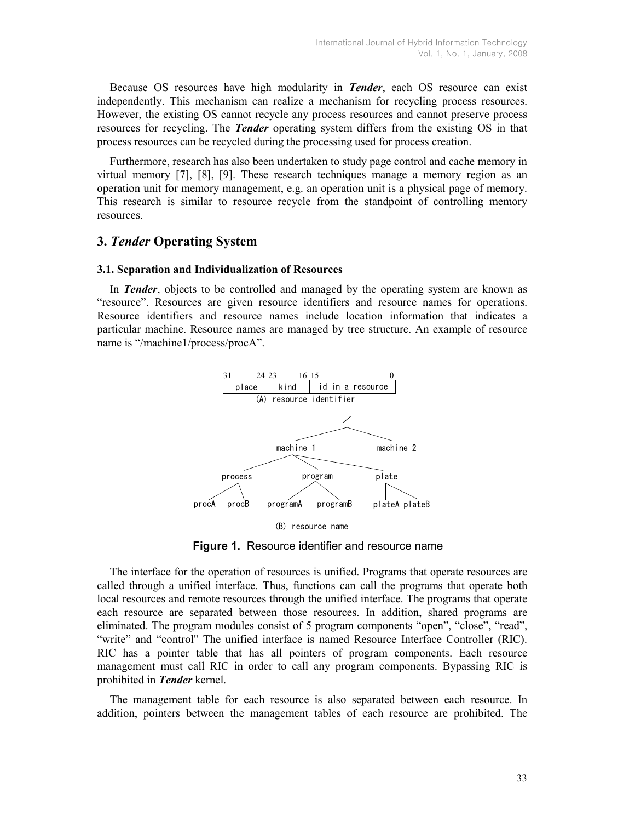Because OS resources have high modularity in **Tender**, each OS resource can exist independently. This mechanism can realize a mechanism for recycling process resources. However, the existing OS cannot recycle any process resources and cannot preserve process resources for recycling. The **Tender** operating system differs from the existing OS in that process resources can be recycled during the processing used for process creation.

Furthermore, research has also been undertaken to study page control and cache memory in virtual memory [7], [8], [9]. These research techniques manage a memory region as an operation unit for memory management, e.g. an operation unit is a physical page of memory. This research is similar to resource recycle from the standpoint of controlling memory resources.

### 3. Tender Operating System

#### 3.1. Separation and Individualization of Resources

In **Tender**, objects to be controlled and managed by the operating system are known as "resource". Resources are given resource identifiers and resource names for operations. Resource identifiers and resource names include location information that indicates a particular machine. Resource names are managed by tree structure. An example of resource name is "/machine1/process/procA".



Figure 1. Resource identifier and resource name

The interface for the operation of resources is unified. Programs that operate resources are called through a unified interface. Thus, functions can call the programs that operate both local resources and remote resources through the unified interface. The programs that operate each resource are separated between those resources. In addition, shared programs are eliminated. The program modules consist of 5 program components "open", "close", "read", "write" and "control" The unified interface is named Resource Interface Controller (RIC). RIC has a pointer table that has all pointers of program components. Each resource management must call RIC in order to call any program components. Bypassing RIC is prohibited in Tender kernel.

The management table for each resource is also separated between each resource. In addition, pointers between the management tables of each resource are prohibited. The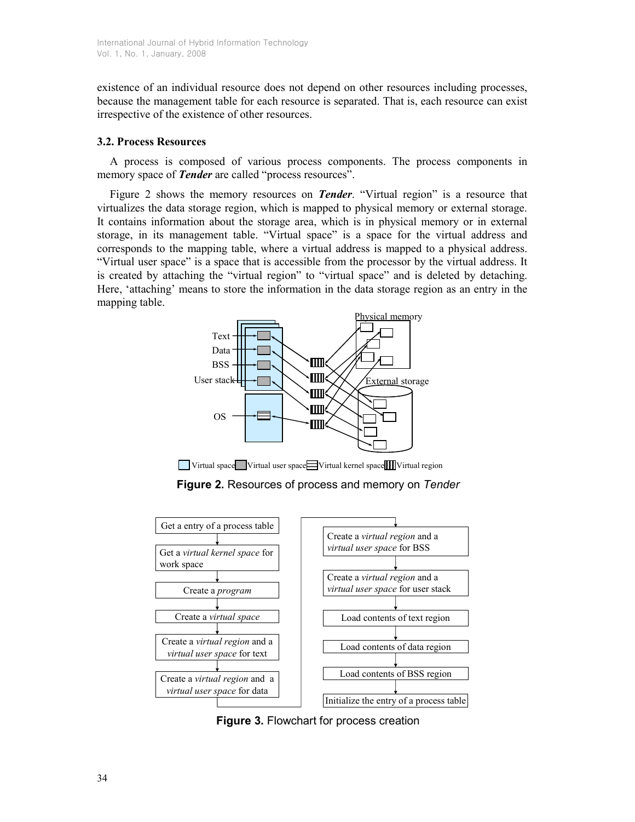existence of an individual resource does not depend on other resources including processes, because the management table for each resource is separated. That is, each resource can exist irrespective of the existence of other resources.

#### 3.2. Process Resources

A process is composed of various process components. The process components in memory space of **Tender** are called "process resources".

Figure 2 shows the memory resources on **Tender**. "Virtual region" is a resource that virtualizes the data storage region, which is mapped to physical memory or external storage. It contains information about the storage area, which is in physical memory or in external storage, in its management table. "Virtual space" is a space for the virtual address and corresponds to the mapping table, where a virtual address is mapped to a physical address. "Virtual user space" is a space that is accessible from the processor by the virtual address. It is created by attaching the "virtual region" to "virtual space" and is deleted by detaching. Here, 'attaching' means to store the information in the data storage region as an entry in the mapping table.



Virtual space Virtual user space Virtual kernel space Virtual region

Figure 2. Resources of process and memory on Tender



Figure 3. Flowchart for process creation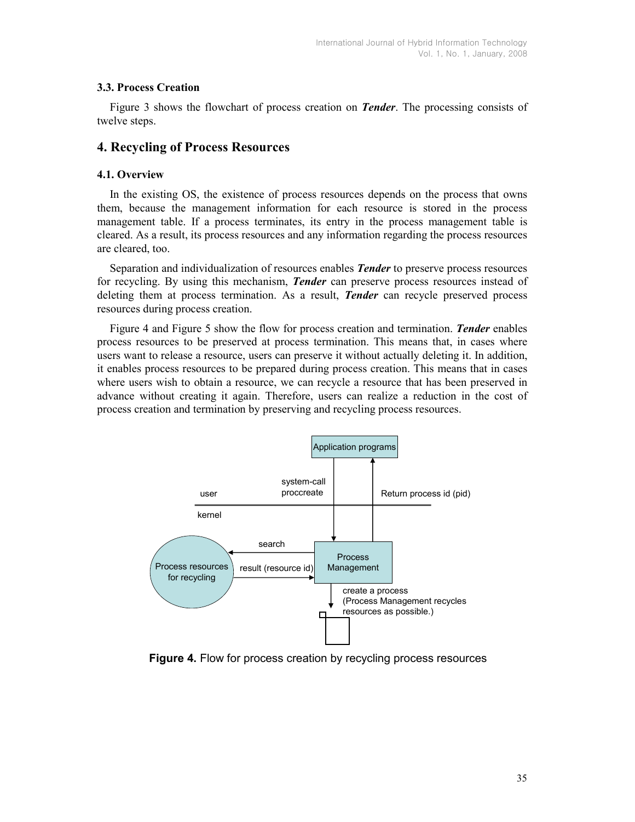#### 3.3. Process Creation

Figure 3 shows the flowchart of process creation on **Tender**. The processing consists of twelve steps.

## 4. Recycling of Process Resources

### 4.1. Overview

In the existing OS, the existence of process resources depends on the process that owns them, because the management information for each resource is stored in the process management table. If a process terminates, its entry in the process management table is cleared. As a result, its process resources and any information regarding the process resources are cleared, too.

Separation and individualization of resources enables **Tender** to preserve process resources for recycling. By using this mechanism, **Tender** can preserve process resources instead of deleting them at process termination. As a result, **Tender** can recycle preserved process resources during process creation.

Figure 4 and Figure 5 show the flow for process creation and termination. **Tender** enables process resources to be preserved at process termination. This means that, in cases where users want to release a resource, users can preserve it without actually deleting it. In addition, it enables process resources to be prepared during process creation. This means that in cases where users wish to obtain a resource, we can recycle a resource that has been preserved in advance without creating it again. Therefore, users can realize a reduction in the cost of process creation and termination by preserving and recycling process resources.



Figure 4. Flow for process creation by recycling process resources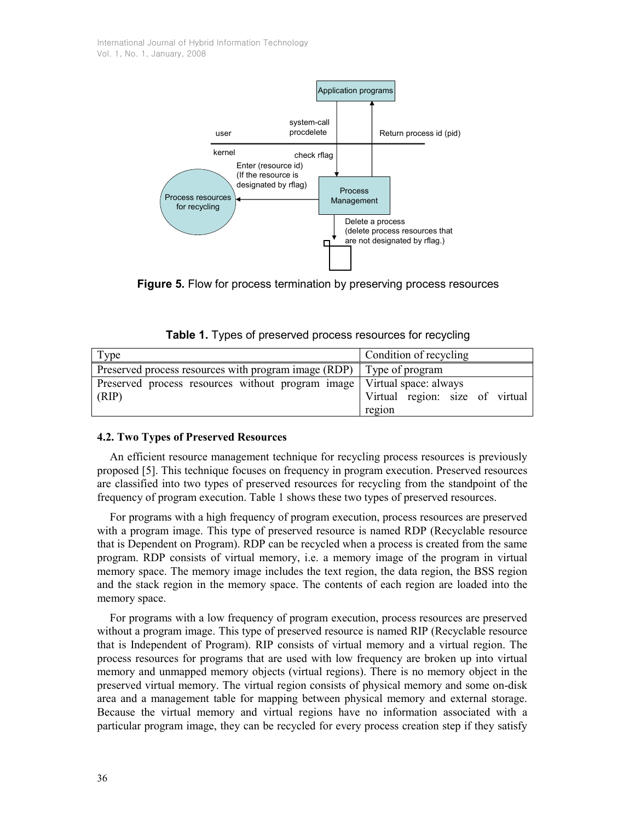

Figure 5. Flow for process termination by preserving process resources

| Type                                                                               | Condition of recycling          |
|------------------------------------------------------------------------------------|---------------------------------|
| Preserved process resources with program image (RDP) Type of program               |                                 |
| Preserved process resources without program image   Virtual space: always<br>(RIP) | Virtual region: size of virtual |
|                                                                                    |                                 |

Table 1. Types of preserved process resources for recycling

region

### 4.2. Two Types of Preserved Resources

An efficient resource management technique for recycling process resources is previously proposed [5]. This technique focuses on frequency in program execution. Preserved resources are classified into two types of preserved resources for recycling from the standpoint of the frequency of program execution. Table 1 shows these two types of preserved resources.

For programs with a high frequency of program execution, process resources are preserved with a program image. This type of preserved resource is named RDP (Recyclable resource that is Dependent on Program). RDP can be recycled when a process is created from the same program. RDP consists of virtual memory, i.e. a memory image of the program in virtual memory space. The memory image includes the text region, the data region, the BSS region and the stack region in the memory space. The contents of each region are loaded into the memory space.

For programs with a low frequency of program execution, process resources are preserved without a program image. This type of preserved resource is named RIP (Recyclable resource that is Independent of Program). RIP consists of virtual memory and a virtual region. The process resources for programs that are used with low frequency are broken up into virtual memory and unmapped memory objects (virtual regions). There is no memory object in the preserved virtual memory. The virtual region consists of physical memory and some on-disk area and a management table for mapping between physical memory and external storage. Because the virtual memory and virtual regions have no information associated with a particular program image, they can be recycled for every process creation step if they satisfy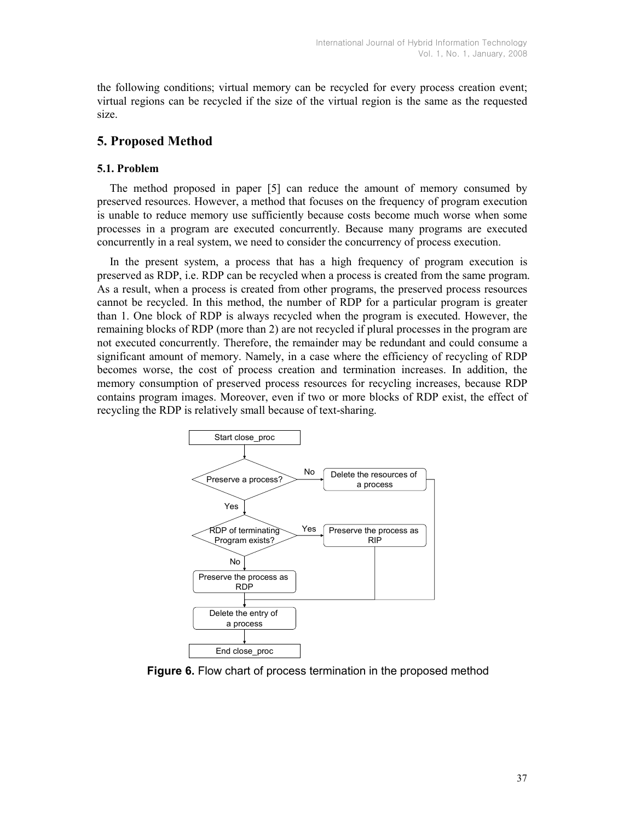the following conditions; virtual memory can be recycled for every process creation event; virtual regions can be recycled if the size of the virtual region is the same as the requested size.

## 5. Proposed Method

### 5.1. Problem

The method proposed in paper [5] can reduce the amount of memory consumed by preserved resources. However, a method that focuses on the frequency of program execution is unable to reduce memory use sufficiently because costs become much worse when some processes in a program are executed concurrently. Because many programs are executed concurrently in a real system, we need to consider the concurrency of process execution.

In the present system, a process that has a high frequency of program execution is preserved as RDP, i.e. RDP can be recycled when a process is created from the same program. As a result, when a process is created from other programs, the preserved process resources cannot be recycled. In this method, the number of RDP for a particular program is greater than 1. One block of RDP is always recycled when the program is executed. However, the remaining blocks of RDP (more than 2) are not recycled if plural processes in the program are not executed concurrently. Therefore, the remainder may be redundant and could consume a significant amount of memory. Namely, in a case where the efficiency of recycling of RDP becomes worse, the cost of process creation and termination increases. In addition, the memory consumption of preserved process resources for recycling increases, because RDP contains program images. Moreover, even if two or more blocks of RDP exist, the effect of recycling the RDP is relatively small because of text-sharing.



Figure 6. Flow chart of process termination in the proposed method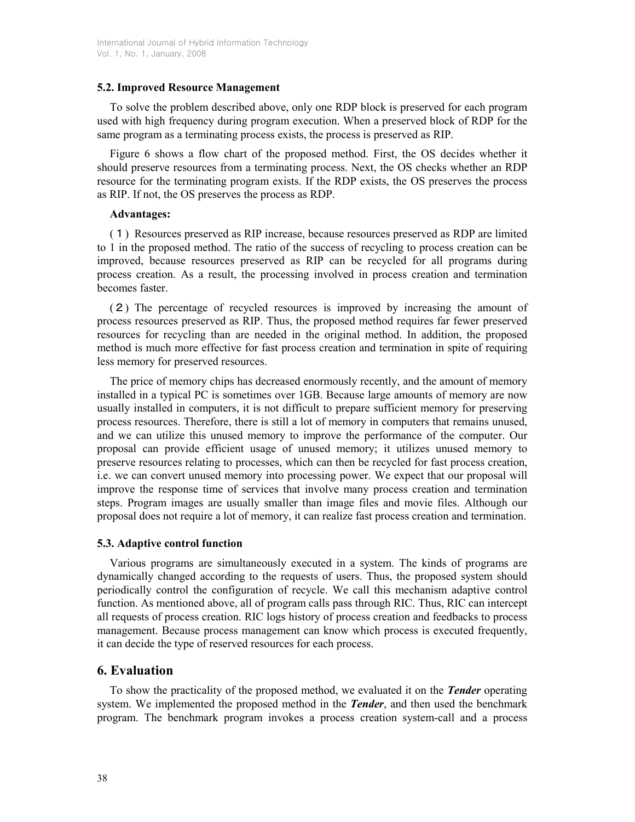### 5.2. Improved Resource Management

To solve the problem described above, only one RDP block is preserved for each program used with high frequency during program execution. When a preserved block of RDP for the same program as a terminating process exists, the process is preserved as RIP.

Figure 6 shows a flow chart of the proposed method. First, the OS decides whether it should preserve resources from a terminating process. Next, the OS checks whether an RDP resource for the terminating program exists. If the RDP exists, the OS preserves the process as RIP. If not, the OS preserves the process as RDP.

### Advantages:

(1) Resources preserved as RIP increase, because resources preserved as RDP are limited to 1 in the proposed method. The ratio of the success of recycling to process creation can be improved, because resources preserved as RIP can be recycled for all programs during process creation. As a result, the processing involved in process creation and termination becomes faster.

(2) The percentage of recycled resources is improved by increasing the amount of process resources preserved as RIP. Thus, the proposed method requires far fewer preserved resources for recycling than are needed in the original method. In addition, the proposed method is much more effective for fast process creation and termination in spite of requiring less memory for preserved resources.

The price of memory chips has decreased enormously recently, and the amount of memory installed in a typical PC is sometimes over 1GB. Because large amounts of memory are now usually installed in computers, it is not difficult to prepare sufficient memory for preserving process resources. Therefore, there is still a lot of memory in computers that remains unused, and we can utilize this unused memory to improve the performance of the computer. Our proposal can provide efficient usage of unused memory; it utilizes unused memory to preserve resources relating to processes, which can then be recycled for fast process creation, i.e. we can convert unused memory into processing power. We expect that our proposal will improve the response time of services that involve many process creation and termination steps. Program images are usually smaller than image files and movie files. Although our proposal does not require a lot of memory, it can realize fast process creation and termination.

### 5.3. Adaptive control function

Various programs are simultaneously executed in a system. The kinds of programs are dynamically changed according to the requests of users. Thus, the proposed system should periodically control the configuration of recycle. We call this mechanism adaptive control function. As mentioned above, all of program calls pass through RIC. Thus, RIC can intercept all requests of process creation. RIC logs history of process creation and feedbacks to process management. Because process management can know which process is executed frequently, it can decide the type of reserved resources for each process.

### 6. Evaluation

To show the practicality of the proposed method, we evaluated it on the **Tender** operating system. We implemented the proposed method in the **Tender**, and then used the benchmark program. The benchmark program invokes a process creation system-call and a process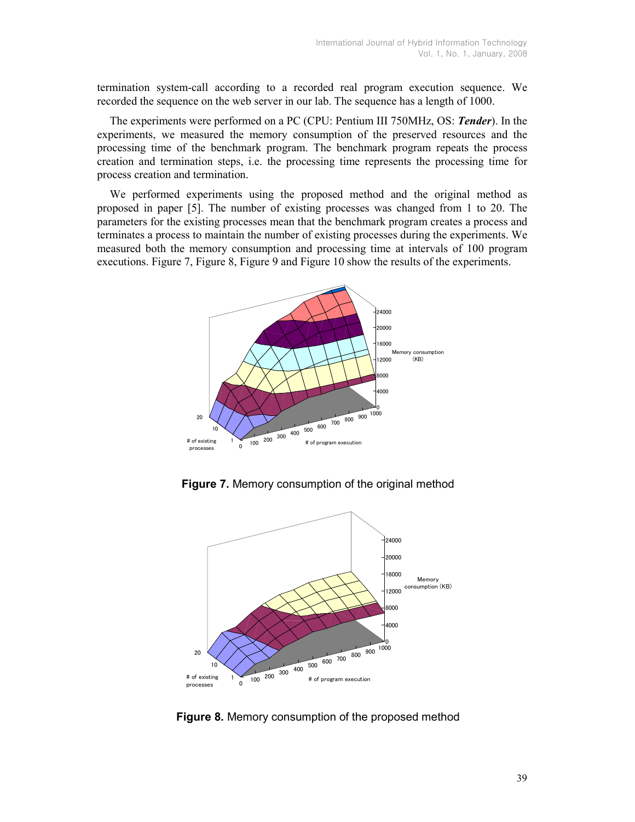termination system-call according to a recorded real program execution sequence. We recorded the sequence on the web server in our lab. The sequence has a length of 1000.

The experiments were performed on a PC (CPU: Pentium III 750MHz, OS: Tender). In the experiments, we measured the memory consumption of the preserved resources and the processing time of the benchmark program. The benchmark program repeats the process creation and termination steps, i.e. the processing time represents the processing time for process creation and termination.

We performed experiments using the proposed method and the original method as proposed in paper [5]. The number of existing processes was changed from 1 to 20. The parameters for the existing processes mean that the benchmark program creates a process and terminates a process to maintain the number of existing processes during the experiments. We measured both the memory consumption and processing time at intervals of 100 program executions. Figure 7, Figure 8, Figure 9 and Figure 10 show the results of the experiments.



Figure 7. Memory consumption of the original method



Figure 8. Memory consumption of the proposed method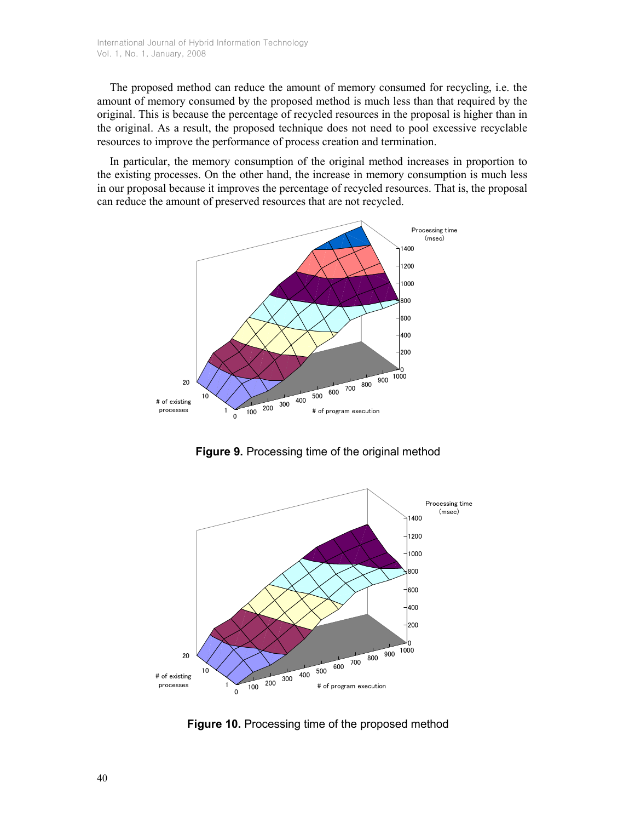The proposed method can reduce the amount of memory consumed for recycling, i.e. the amount of memory consumed by the proposed method is much less than that required by the original. This is because the percentage of recycled resources in the proposal is higher than in the original. As a result, the proposed technique does not need to pool excessive recyclable resources to improve the performance of process creation and termination.

In particular, the memory consumption of the original method increases in proportion to the existing processes. On the other hand, the increase in memory consumption is much less in our proposal because it improves the percentage of recycled resources. That is, the proposal can reduce the amount of preserved resources that are not recycled.



Figure 9. Processing time of the original method



Figure 10. Processing time of the proposed method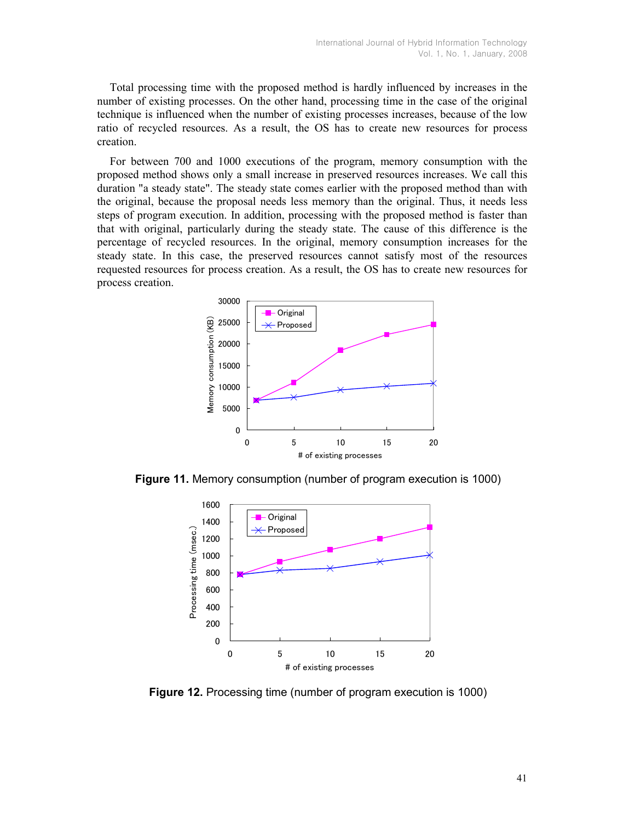Total processing time with the proposed method is hardly influenced by increases in the number of existing processes. On the other hand, processing time in the case of the original technique is influenced when the number of existing processes increases, because of the low ratio of recycled resources. As a result, the OS has to create new resources for process creation.

For between 700 and 1000 executions of the program, memory consumption with the proposed method shows only a small increase in preserved resources increases. We call this duration "a steady state". The steady state comes earlier with the proposed method than with the original, because the proposal needs less memory than the original. Thus, it needs less steps of program execution. In addition, processing with the proposed method is faster than that with original, particularly during the steady state. The cause of this difference is the percentage of recycled resources. In the original, memory consumption increases for the steady state. In this case, the preserved resources cannot satisfy most of the resources requested resources for process creation. As a result, the OS has to create new resources for process creation.



Figure 11. Memory consumption (number of program execution is 1000)



Figure 12. Processing time (number of program execution is 1000)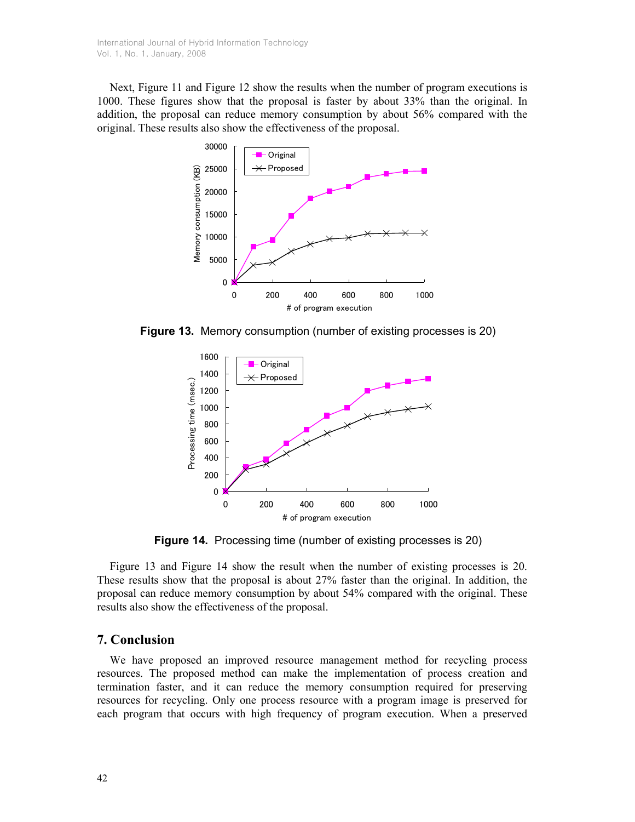Next, Figure 11 and Figure 12 show the results when the number of program executions is 1000. These figures show that the proposal is faster by about 33% than the original. In addition, the proposal can reduce memory consumption by about 56% compared with the original. These results also show the effectiveness of the proposal.



Figure 13. Memory consumption (number of existing processes is 20)



Figure 14. Processing time (number of existing processes is 20)

Figure 13 and Figure 14 show the result when the number of existing processes is 20. These results show that the proposal is about 27% faster than the original. In addition, the proposal can reduce memory consumption by about 54% compared with the original. These results also show the effectiveness of the proposal.

### 7. Conclusion

We have proposed an improved resource management method for recycling process resources. The proposed method can make the implementation of process creation and termination faster, and it can reduce the memory consumption required for preserving resources for recycling. Only one process resource with a program image is preserved for each program that occurs with high frequency of program execution. When a preserved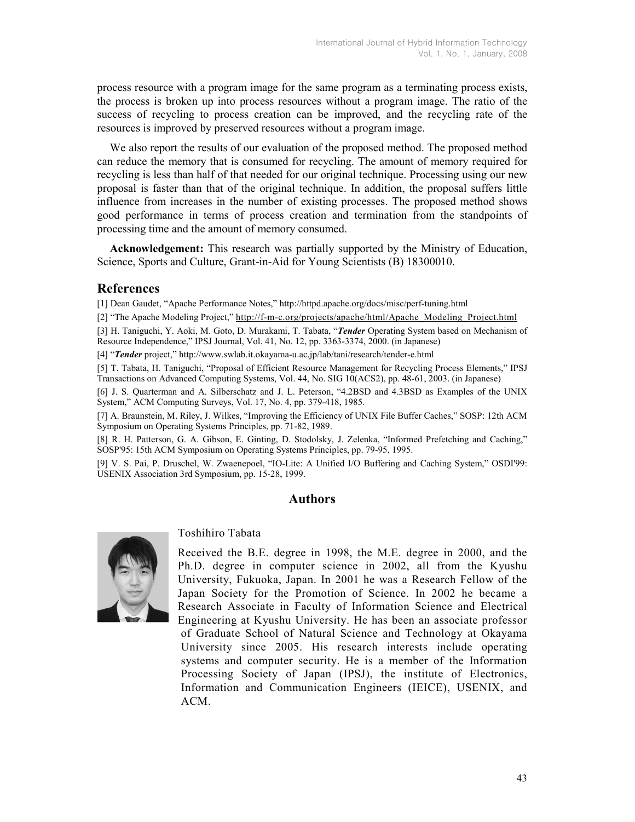process resource with a program image for the same program as a terminating process exists, the process is broken up into process resources without a program image. The ratio of the success of recycling to process creation can be improved, and the recycling rate of the resources is improved by preserved resources without a program image.

We also report the results of our evaluation of the proposed method. The proposed method can reduce the memory that is consumed for recycling. The amount of memory required for recycling is less than half of that needed for our original technique. Processing using our new proposal is faster than that of the original technique. In addition, the proposal suffers little influence from increases in the number of existing processes. The proposed method shows good performance in terms of process creation and termination from the standpoints of processing time and the amount of memory consumed.

Acknowledgement: This research was partially supported by the Ministry of Education, Science, Sports and Culture, Grant-in-Aid for Young Scientists (B) 18300010.

### **References**

[1] Dean Gaudet, "Apache Performance Notes," http://httpd.apache.org/docs/misc/perf-tuning.html

[2] "The Apache Modeling Project," http://f-m-c.org/projects/apache/html/Apache\_Modeling\_Project.html

[3] H. Taniguchi, Y. Aoki, M. Goto, D. Murakami, T. Tabata, "Tender Operating System based on Mechanism of Resource Independence," IPSJ Journal, Vol. 41, No. 12, pp. 3363-3374, 2000. (in Japanese)

[4] "Tender project," http://www.swlab.it.okayama-u.ac.jp/lab/tani/research/tender-e.html

[5] T. Tabata, H. Taniguchi, "Proposal of Efficient Resource Management for Recycling Process Elements," IPSJ Transactions on Advanced Computing Systems, Vol. 44, No. SIG 10(ACS2), pp. 48-61, 2003. (in Japanese)

[6] J. S. Quarterman and A. Silberschatz and J. L. Peterson, "4.2BSD and 4.3BSD as Examples of the UNIX System," ACM Computing Surveys, Vol. 17, No. 4, pp. 379-418, 1985.

[7] A. Braunstein, M. Riley, J. Wilkes, "Improving the Efficiency of UNIX File Buffer Caches," SOSP: 12th ACM Symposium on Operating Systems Principles, pp. 71-82, 1989.

[8] R. H. Patterson, G. A. Gibson, E. Ginting, D. Stodolsky, J. Zelenka, "Informed Prefetching and Caching," SOSP'95: 15th ACM Symposium on Operating Systems Principles, pp. 79-95, 1995.

[9] V. S. Pai, P. Druschel, W. Zwaenepoel, "IO-Lite: A Unified I/O Buffering and Caching System," OSDI'99: USENIX Association 3rd Symposium, pp. 15-28, 1999.

### Authors



Toshihiro Tabata

Received the B.E. degree in 1998, the M.E. degree in 2000, and the Ph.D. degree in computer science in 2002, all from the Kyushu University, Fukuoka, Japan. In 2001 he was a Research Fellow of the Japan Society for the Promotion of Science. In 2002 he became a Research Associate in Faculty of Information Science and Electrical Engineering at Kyushu University. He has been an associate professor of Graduate School of Natural Science and Technology at Okayama University since 2005. His research interests include operating systems and computer security. He is a member of the Information Processing Society of Japan (IPSJ), the institute of Electronics, Information and Communication Engineers (IEICE), USENIX, and ACM.